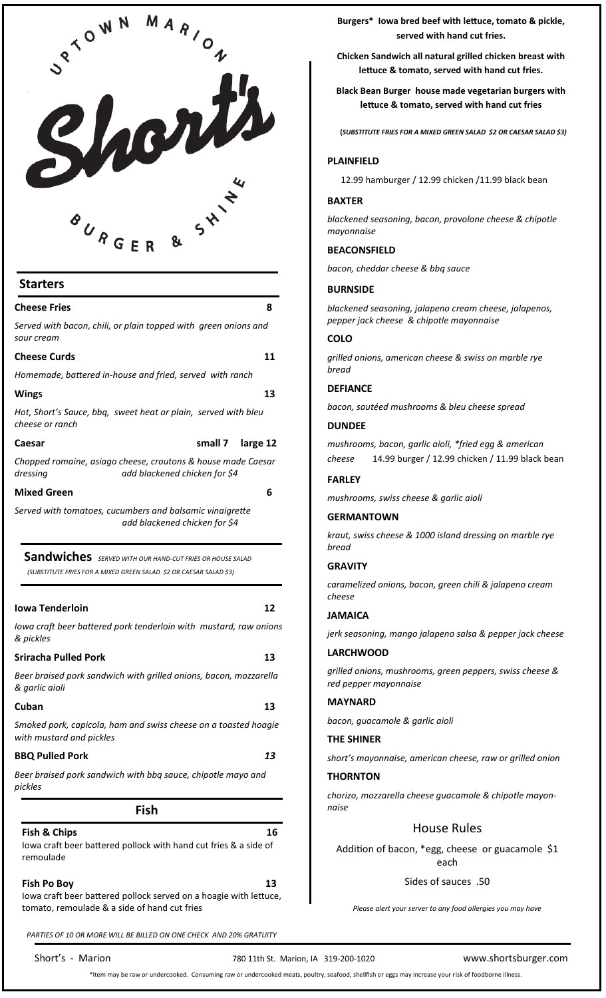

# **Starters**

| <b>Cheese Fries</b>                                                                         |                                                                                                                                | 8        |
|---------------------------------------------------------------------------------------------|--------------------------------------------------------------------------------------------------------------------------------|----------|
| Served with bacon, chili, or plain topped with green onions and<br>sour cream               |                                                                                                                                |          |
| <b>Cheese Curds</b>                                                                         |                                                                                                                                | 11       |
| Homemade, battered in-house and fried, served with ranch                                    |                                                                                                                                |          |
| Wings                                                                                       |                                                                                                                                | 13       |
| Hot, Short's Sauce, bbq, sweet heat or plain, served with bleu<br>cheese or ranch           |                                                                                                                                |          |
| Caesar                                                                                      | small 7                                                                                                                        | large 12 |
| Chopped romaine, asiago cheese, croutons & house made Caesar<br>dressing                    | add blackened chicken for \$4                                                                                                  |          |
| <b>Mixed Green</b>                                                                          |                                                                                                                                | 6        |
|                                                                                             | Sandwiches SERVED WITH OUR HAND-CUT FRIES OR HOUSE SALAD<br>(SUBSTITUTE FRIES FOR A MIXED GREEN SALAD \$2 OR CAESAR SALAD \$3) |          |
| Iowa Tenderloin                                                                             |                                                                                                                                | 12       |
| lowa craft beer battered pork tenderloin with mustard, raw onions<br>& pickles              |                                                                                                                                |          |
| <b>Sriracha Pulled Pork</b>                                                                 |                                                                                                                                | 13       |
| Beer braised pork sandwich with grilled onions, bacon, mozzarella<br>& garlic aioli         |                                                                                                                                |          |
| Cuban                                                                                       |                                                                                                                                | 13       |
| Smoked pork, capicola, ham and swiss cheese on a toasted hoagie<br>with mustard and pickles |                                                                                                                                |          |
| <b>BBQ Pulled Pork</b>                                                                      |                                                                                                                                | 13       |
| Beer braised pork sandwich with bbq sauce, chipotle mayo and<br>pickles                     |                                                                                                                                |          |
|                                                                                             | Fish                                                                                                                           |          |

**Fish & Chips 2018 Chips 2018 Chips 2018 Chips 2018 Chips 2016 Chips 2016** 

Iowa craft beer battered pollock with hand cut fries & a side of remoulade

# **Fish Po Boy 13**

Iowa craft beer battered pollock served on a hoagie with lettuce, tomato, remoulade & a side of hand cut fries

*PARTIES OF 10 OR MORE WILL BE BILLED ON ONE CHECK AND 20% GRATUITY* 

**Burgers\* Iowa bred beef with lettuce, tomato & pickle, served with hand cut fries.** 

**Chicken Sandwich all natural grilled chicken breast with lettuce & tomato, served with hand cut fries.** 

**Black Bean Burger house made vegetarian burgers with lettuce & tomato, served with hand cut fries** 

 **(***SUBSTITUTE FRIES FOR A MIXED GREEN SALAD \$2 OR CAESAR SALAD \$3)*

# **PLAINFIELD**

12.99 hamburger / 12.99 chicken /11.99 black bean

#### **BAXTER**

*blackened seasoning, bacon, provolone cheese & chipotle mayonnaise*

# **BEACONSFIELD**

*bacon, cheddar cheese & bbq sauce*

# **BURNSIDE**

*blackened seasoning, jalapeno cream cheese, jalapenos, pepper jack cheese & chipotle mayonnaise*

### **COLO**

*grilled onions, american cheese & swiss on marble rye bread*

### **DEFIANCE**

*bacon, sautéed mushrooms & bleu cheese spread*

#### **DUNDEE**

*mushrooms, bacon, garlic aioli, \*fried egg & american cheese* 14.99 burger / 12.99 chicken / 11.99 black bean

#### **FARLEY**

*mushrooms, swiss cheese & garlic aioli*

#### **GERMANTOWN**

*kraut, swiss cheese & 1000 island dressing on marble rye bread*

#### **GRAVITY**

*caramelized onions, bacon, green chili & jalapeno cream cheese*

#### **JAMAICA**

*jerk seasoning, mango jalapeno salsa & pepper jack cheese*

#### **LARCHWOOD**

*grilled onions, mushrooms, green peppers, swiss cheese & red pepper mayonnaise*

#### **MAYNARD**

*bacon, guacamole & garlic aioli*

#### **THE SHINER**

*short's mayonnaise, american cheese, raw or grilled onion*

#### **THORNTON**

*chorizo, mozzarella cheese guacamole & chipotle mayonnaise*

# House Rules

Addition of bacon, \*egg, cheese or guacamole \$1 each

#### Sides of sauces .50

*Please alert your server to any food allergies you may have*

Short's - Marion 780 11th St. Marion, IA 319-200-1020 www.shortsburger.com

\*Item may be raw or undercooked. Consuming raw or undercooked meats, poultry, seafood, shellfish or eggs may increase your risk of foodborne illness.